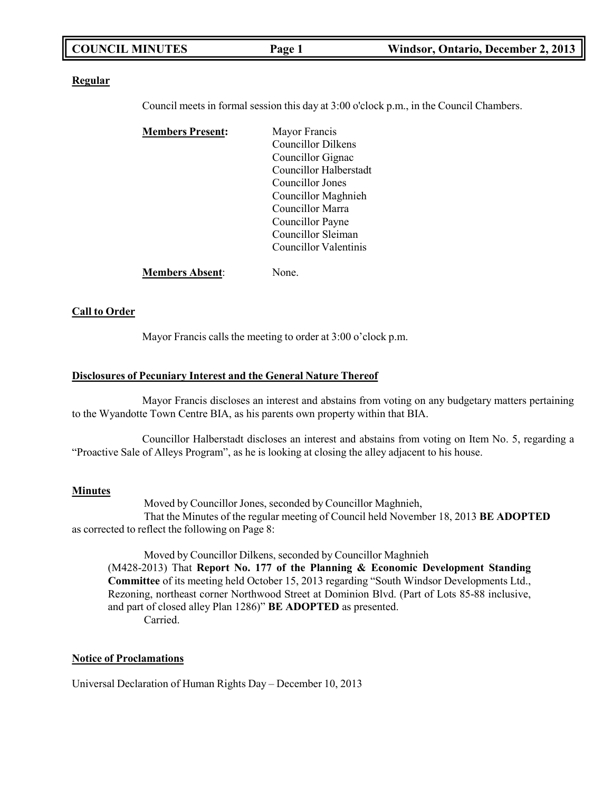|--|

#### **Regular**

Council meets in formal session this day at 3:00 o'clock p.m., in the Council Chambers.

| <b>Members Present:</b> | Mayor Francis             |
|-------------------------|---------------------------|
|                         | <b>Councillor Dilkens</b> |
|                         | Councillor Gignac         |
|                         | Councillor Halberstadt    |
|                         | Councillor Jones          |
|                         | Councillor Maghnieh       |
|                         | Councillor Marra          |
|                         | Councillor Payne          |
|                         | Councillor Sleiman        |
|                         | Councillor Valentinis     |
| <b>Members Absent:</b>  | Jone.                     |

#### **Call to Order**

Mayor Francis calls the meeting to order at 3:00 o'clock p.m.

#### **Disclosures of Pecuniary Interest and the General Nature Thereof**

Mayor Francis discloses an interest and abstains from voting on any budgetary matters pertaining to the Wyandotte Town Centre BIA, as his parents own property within that BIA.

Councillor Halberstadt discloses an interest and abstains from voting on Item No. 5, regarding a "Proactive Sale of Alleys Program", as he is looking at closing the alley adjacent to his house.

#### **Minutes**

Moved by Councillor Jones, seconded by Councillor Maghnieh, That the Minutes of the regular meeting of Council held November 18, 2013 **BE ADOPTED** as corrected to reflect the following on Page 8:

Moved by Councillor Dilkens, seconded by Councillor Maghnieh (M428-2013) That **Report No. 177 of the Planning & Economic Development Standing Committee** of its meeting held October 15, 2013 regarding "South Windsor Developments Ltd., Rezoning, northeast corner Northwood Street at Dominion Blvd. (Part of Lots 85-88 inclusive, and part of closed alley Plan 1286)" **BE ADOPTED** as presented. Carried.

#### **Notice of Proclamations**

Universal Declaration of Human Rights Day – December 10, 2013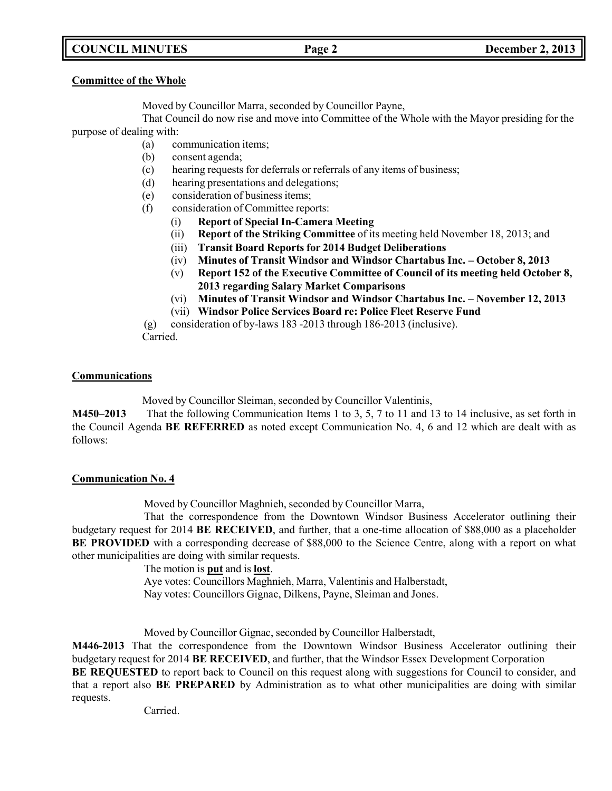# **COUNCIL MINUTES Page 2 December 2, 2013**

#### **Committee of the Whole**

Moved by Councillor Marra, seconded by Councillor Payne,

That Council do now rise and move into Committee of the Whole with the Mayor presiding for the purpose of dealing with:

- (a) communication items;
- (b) consent agenda;
- (c) hearing requests for deferrals or referrals of any items of business;
- (d) hearing presentations and delegations;
- (e) consideration of business items;
- (f) consideration of Committee reports:
	- (i) **Report of Special In-Camera Meeting**
	- (ii) **Report of the Striking Committee** of its meeting held November 18, 2013; and
	- (iii) **Transit Board Reports for 2014 Budget Deliberations**
	- (iv) **Minutes of Transit Windsor and Windsor Chartabus Inc. – October 8, 2013**
	- (v) **Report 152 of the Executive Committee of Council of its meeting held October 8, 2013 regarding Salary Market Comparisons**
	- (vi) **Minutes of Transit Windsor and Windsor Chartabus Inc. – November 12, 2013**
	- (vii) **Windsor Police Services Board re: Police Fleet Reserve Fund**

(g) consideration of by-laws 183 -2013 through 186-2013 (inclusive).

Carried.

### **Communications**

Moved by Councillor Sleiman, seconded by Councillor Valentinis,

**M450–2013** That the following Communication Items 1 to 3, 5, 7 to 11 and 13 to 14 inclusive, as set forth in the Council Agenda **BE REFERRED** as noted except Communication No. 4, 6 and 12 which are dealt with as follows:

### **Communication No. 4**

Moved by Councillor Maghnieh, seconded by Councillor Marra,

That the correspondence from the Downtown Windsor Business Accelerator outlining their budgetary request for 2014 **BE RECEIVED**, and further, that a one-time allocation of \$88,000 as a placeholder **BE PROVIDED** with a corresponding decrease of \$88,000 to the Science Centre, along with a report on what other municipalities are doing with similar requests.

The motion is **put** and is **lost**.

Aye votes: Councillors Maghnieh, Marra, Valentinis and Halberstadt, Nay votes: Councillors Gignac, Dilkens, Payne, Sleiman and Jones.

Moved by Councillor Gignac, seconded by Councillor Halberstadt,

**M446-2013** That the correspondence from the Downtown Windsor Business Accelerator outlining their budgetary request for 2014 **BE RECEIVED**, and further, that the Windsor Essex Development Corporation

**BE REQUESTED** to report back to Council on this request along with suggestions for Council to consider, and that a report also **BE PREPARED** by Administration as to what other municipalities are doing with similar requests.

Carried.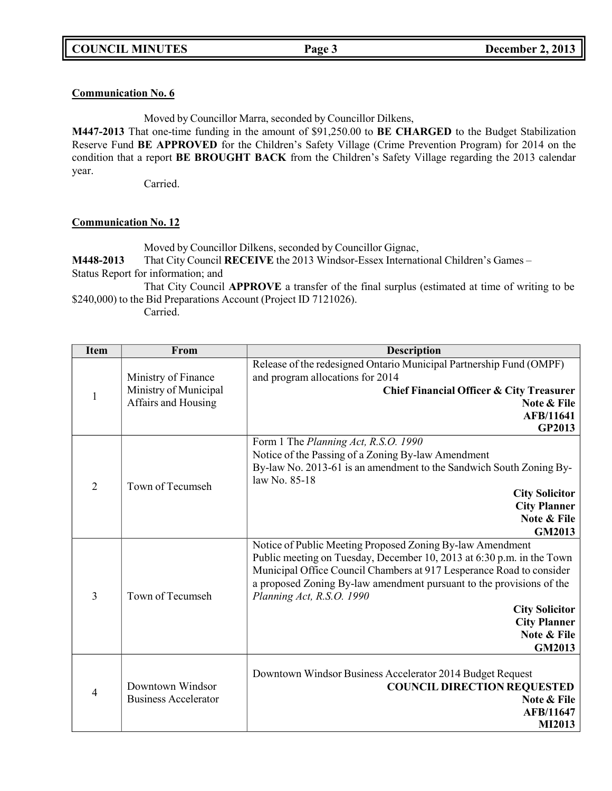## **Communication No. 6**

Moved by Councillor Marra, seconded by Councillor Dilkens,

**M447-2013** That one-time funding in the amount of \$91,250.00 to **BE CHARGED** to the Budget Stabilization Reserve Fund **BE APPROVED** for the Children's Safety Village (Crime Prevention Program) for 2014 on the condition that a report **BE BROUGHT BACK** from the Children's Safety Village regarding the 2013 calendar year.

Carried.

# **Communication No. 12**

Moved by Councillor Dilkens, seconded by Councillor Gignac,

**M448-2013** That City Council **RECEIVE** the 2013 Windsor-Essex International Children's Games – Status Report for information; and

That City Council **APPROVE** a transfer of the final surplus (estimated at time of writing to be \$240,000) to the Bid Preparations Account (Project ID 7121026).

Carried.

| <b>Item</b>    | From                        | <b>Description</b>                                                    |
|----------------|-----------------------------|-----------------------------------------------------------------------|
|                |                             | Release of the redesigned Ontario Municipal Partnership Fund (OMPF)   |
|                | Ministry of Finance         | and program allocations for 2014                                      |
| 1              | Ministry of Municipal       | Chief Financial Officer & City Treasurer                              |
|                | Affairs and Housing         | Note & File                                                           |
|                |                             | <b>AFB/11641</b><br><b>GP2013</b>                                     |
|                |                             | Form 1 The Planning Act, R.S.O. 1990                                  |
|                |                             | Notice of the Passing of a Zoning By-law Amendment                    |
|                |                             | By-law No. 2013-61 is an amendment to the Sandwich South Zoning By-   |
|                |                             | law No. 85-18                                                         |
| $\overline{2}$ | Town of Tecumseh            | <b>City Solicitor</b>                                                 |
|                |                             | <b>City Planner</b>                                                   |
|                |                             | Note & File                                                           |
|                |                             | <b>GM2013</b>                                                         |
|                |                             | Notice of Public Meeting Proposed Zoning By-law Amendment             |
|                |                             | Public meeting on Tuesday, December 10, 2013 at 6:30 p.m. in the Town |
|                |                             | Municipal Office Council Chambers at 917 Lesperance Road to consider  |
|                |                             | a proposed Zoning By-law amendment pursuant to the provisions of the  |
| 3              | Town of Tecumseh            | Planning Act, R.S.O. 1990                                             |
|                |                             | <b>City Solicitor</b>                                                 |
|                |                             | <b>City Planner</b><br>Note & File                                    |
|                |                             | <b>GM2013</b>                                                         |
|                |                             |                                                                       |
|                |                             | Downtown Windsor Business Accelerator 2014 Budget Request             |
|                | Downtown Windsor            | <b>COUNCIL DIRECTION REQUESTED</b>                                    |
| 4              | <b>Business Accelerator</b> | Note & File                                                           |
|                |                             | <b>AFB/11647</b>                                                      |
|                |                             | MI2013                                                                |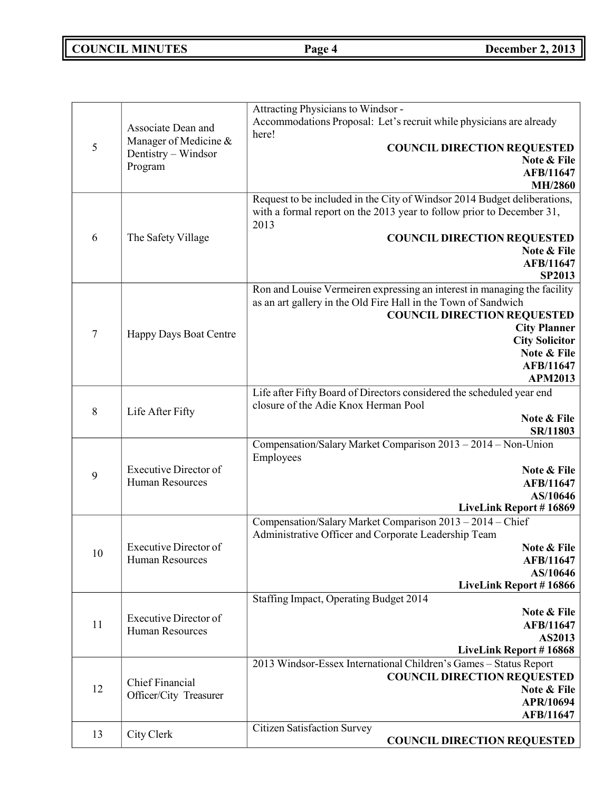**COUNCIL MINUTES Page 4 December 2, 2013**

| 5              | Associate Dean and<br>Manager of Medicine &<br>Dentistry - Windsor<br>Program | Attracting Physicians to Windsor -<br>Accommodations Proposal: Let's recruit while physicians are already<br>here!<br><b>COUNCIL DIRECTION REQUESTED</b><br>Note & File<br>AFB/11647<br><b>MH/2860</b>                                                                         |
|----------------|-------------------------------------------------------------------------------|--------------------------------------------------------------------------------------------------------------------------------------------------------------------------------------------------------------------------------------------------------------------------------|
| 6              | The Safety Village                                                            | Request to be included in the City of Windsor 2014 Budget deliberations,<br>with a formal report on the 2013 year to follow prior to December 31,<br>2013<br><b>COUNCIL DIRECTION REQUESTED</b><br>Note & File<br>AFB/11647<br><b>SP2013</b>                                   |
| $\overline{7}$ | Happy Days Boat Centre                                                        | Ron and Louise Vermeiren expressing an interest in managing the facility<br>as an art gallery in the Old Fire Hall in the Town of Sandwich<br><b>COUNCIL DIRECTION REQUESTED</b><br><b>City Planner</b><br><b>City Solicitor</b><br>Note & File<br>AFB/11647<br><b>APM2013</b> |
| 8              | Life After Fifty                                                              | Life after Fifty Board of Directors considered the scheduled year end<br>closure of the Adie Knox Herman Pool<br>Note & File<br>SR/11803                                                                                                                                       |
| 9              | <b>Executive Director of</b><br>Human Resources                               | Compensation/Salary Market Comparison 2013 - 2014 - Non-Union<br>Employees<br>Note & File<br>AFB/11647<br>AS/10646<br>LiveLink Report #16869                                                                                                                                   |
| 10             | Executive Director of<br>Human Resources                                      | Compensation/Salary Market Comparison 2013 - 2014 - Chief<br>Administrative Officer and Corporate Leadership Team<br>Note & File<br>AFB/11647<br>AS/10646<br>LiveLink Report #16866                                                                                            |
| 11             | <b>Executive Director of</b><br>Human Resources                               | Staffing Impact, Operating Budget 2014<br>Note & File<br>AFB/11647<br>AS2013<br><b>LiveLink Report #16868</b>                                                                                                                                                                  |
| 12             | <b>Chief Financial</b><br>Officer/City Treasurer                              | 2013 Windsor-Essex International Children's Games - Status Report<br><b>COUNCIL DIRECTION REQUESTED</b><br>Note & File<br>APR/10694<br>AFB/11647                                                                                                                               |
| 13             | City Clerk                                                                    | <b>Citizen Satisfaction Survey</b><br><b>COUNCIL DIRECTION REQUESTED</b>                                                                                                                                                                                                       |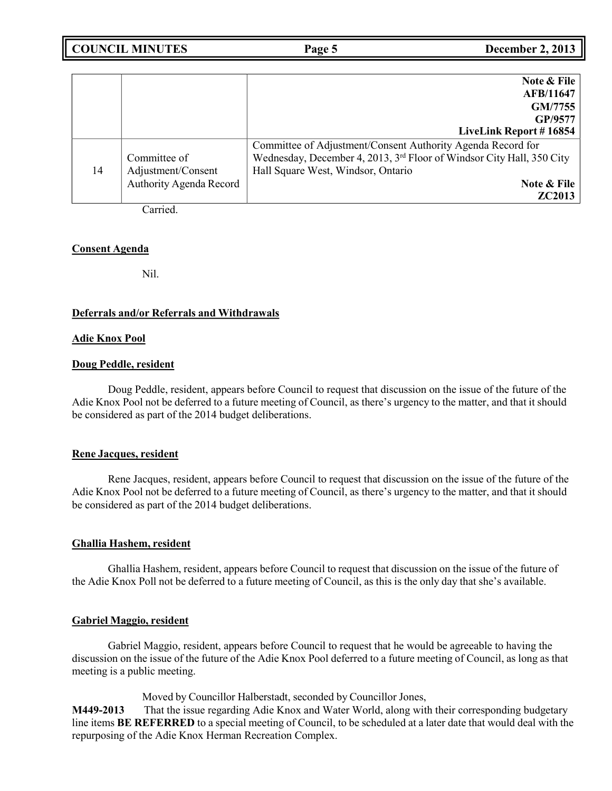| <b>COUNCIL MINUTES</b> | Page 5 | <b>December 2, 2013</b> |
|------------------------|--------|-------------------------|
|------------------------|--------|-------------------------|

|    |                         | Note & File                                                           |
|----|-------------------------|-----------------------------------------------------------------------|
|    |                         | AFB/11647                                                             |
|    |                         | GM/7755                                                               |
|    |                         | GP/9577                                                               |
|    |                         | LiveLink Report #16854                                                |
|    |                         | Committee of Adjustment/Consent Authority Agenda Record for           |
|    | Committee of            | Wednesday, December 4, 2013, 3rd Floor of Windsor City Hall, 350 City |
| 14 | Adjustment/Consent      | Hall Square West, Windsor, Ontario                                    |
|    | Authority Agenda Record | Note & File                                                           |
|    |                         | <b>ZC2013</b>                                                         |

Carried.

#### **Consent Agenda**

Nil.

#### **Deferrals and/or Referrals and Withdrawals**

#### **Adie Knox Pool**

#### **Doug Peddle, resident**

Doug Peddle, resident, appears before Council to request that discussion on the issue of the future of the Adie Knox Pool not be deferred to a future meeting of Council, as there's urgency to the matter, and that it should be considered as part of the 2014 budget deliberations.

#### **Rene Jacques, resident**

Rene Jacques, resident, appears before Council to request that discussion on the issue of the future of the Adie Knox Pool not be deferred to a future meeting of Council, as there's urgency to the matter, and that it should be considered as part of the 2014 budget deliberations.

#### **Ghallia Hashem, resident**

Ghallia Hashem, resident, appears before Council to request that discussion on the issue of the future of the Adie Knox Poll not be deferred to a future meeting of Council, as this is the only day that she's available.

### **Gabriel Maggio, resident**

Gabriel Maggio, resident, appears before Council to request that he would be agreeable to having the discussion on the issue of the future of the Adie Knox Pool deferred to a future meeting of Council, as long as that meeting is a public meeting.

Moved by Councillor Halberstadt, seconded by Councillor Jones,

**M449-2013** That the issue regarding Adie Knox and Water World, along with their corresponding budgetary line items **BE REFERRED** to a special meeting of Council, to be scheduled at a later date that would deal with the repurposing of the Adie Knox Herman Recreation Complex.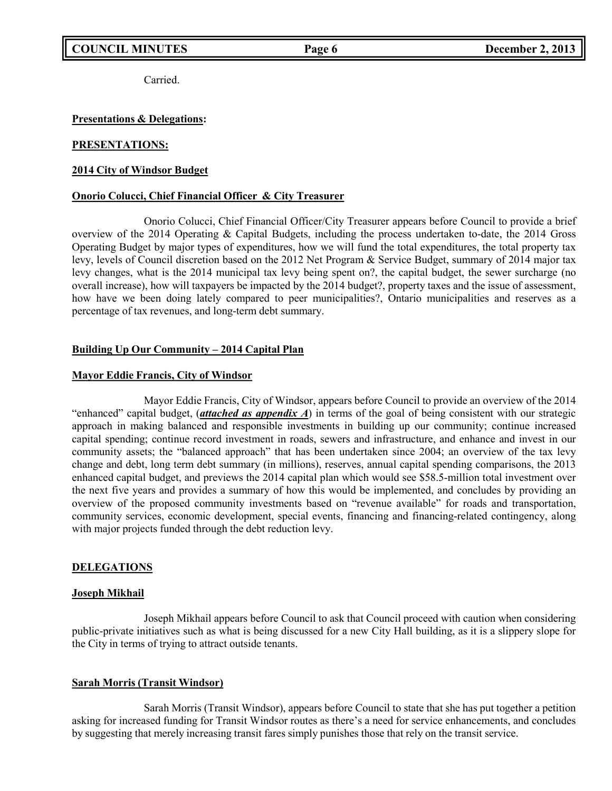Carried.

#### **Presentations & Delegations:**

#### **PRESENTATIONS:**

#### **2014 City of Windsor Budget**

#### **Onorio Colucci, Chief Financial Officer & City Treasurer**

Onorio Colucci, Chief Financial Officer/City Treasurer appears before Council to provide a brief overview of the 2014 Operating & Capital Budgets, including the process undertaken to-date, the 2014 Gross Operating Budget by major types of expenditures, how we will fund the total expenditures, the total property tax levy, levels of Council discretion based on the 2012 Net Program & Service Budget, summary of 2014 major tax levy changes, what is the 2014 municipal tax levy being spent on?, the capital budget, the sewer surcharge (no overall increase), how will taxpayers be impacted by the 2014 budget?, property taxes and the issue of assessment, how have we been doing lately compared to peer municipalities?, Ontario municipalities and reserves as a percentage of tax revenues, and long-term debt summary.

#### **Building Up Our Community – 2014 Capital Plan**

#### **Mayor Eddie Francis, City of Windsor**

Mayor Eddie Francis, City of Windsor, appears before Council to provide an overview of the 2014 "enhanced" capital budget, (*attached as appendix A*) in terms of the goal of being consistent with our strategic approach in making balanced and responsible investments in building up our community; continue increased capital spending; continue record investment in roads, sewers and infrastructure, and enhance and invest in our community assets; the "balanced approach" that has been undertaken since 2004; an overview of the tax levy change and debt, long term debt summary (in millions), reserves, annual capital spending comparisons, the 2013 enhanced capital budget, and previews the 2014 capital plan which would see \$58.5-million total investment over the next five years and provides a summary of how this would be implemented, and concludes by providing an overview of the proposed community investments based on "revenue available" for roads and transportation, community services, economic development, special events, financing and financing-related contingency, along with major projects funded through the debt reduction levy.

### **DELEGATIONS**

#### **Joseph Mikhail**

Joseph Mikhail appears before Council to ask that Council proceed with caution when considering public-private initiatives such as what is being discussed for a new City Hall building, as it is a slippery slope for the City in terms of trying to attract outside tenants.

#### **Sarah Morris (Transit Windsor)**

Sarah Morris (Transit Windsor), appears before Council to state that she has put together a petition asking for increased funding for Transit Windsor routes as there's a need for service enhancements, and concludes by suggesting that merely increasing transit fares simply punishes those that rely on the transit service.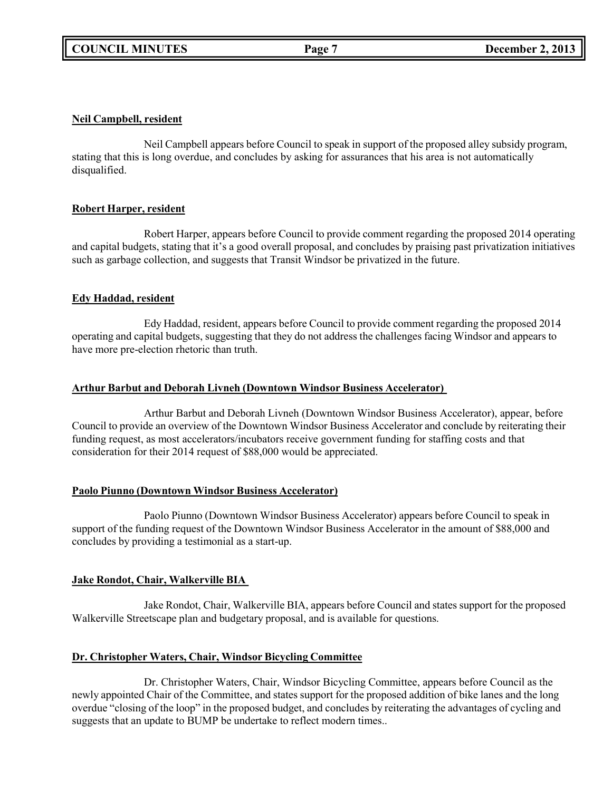### **Neil Campbell, resident**

Neil Campbell appears before Council to speak in support of the proposed alley subsidy program, stating that this is long overdue, and concludes by asking for assurances that his area is not automatically disqualified.

## **Robert Harper, resident**

Robert Harper, appears before Council to provide comment regarding the proposed 2014 operating and capital budgets, stating that it's a good overall proposal, and concludes by praising past privatization initiatives such as garbage collection, and suggests that Transit Windsor be privatized in the future.

## **Edy Haddad, resident**

Edy Haddad, resident, appears before Council to provide comment regarding the proposed 2014 operating and capital budgets, suggesting that they do not address the challenges facing Windsor and appears to have more pre-election rhetoric than truth.

### **Arthur Barbut and Deborah Livneh (Downtown Windsor Business Accelerator)**

Arthur Barbut and Deborah Livneh (Downtown Windsor Business Accelerator), appear, before Council to provide an overview of the Downtown Windsor Business Accelerator and conclude by reiterating their funding request, as most accelerators/incubators receive government funding for staffing costs and that consideration for their 2014 request of \$88,000 would be appreciated.

# **Paolo Piunno (Downtown Windsor Business Accelerator)**

Paolo Piunno (Downtown Windsor Business Accelerator) appears before Council to speak in support of the funding request of the Downtown Windsor Business Accelerator in the amount of \$88,000 and concludes by providing a testimonial as a start-up.

# **Jake Rondot, Chair, Walkerville BIA**

Jake Rondot, Chair, Walkerville BIA, appears before Council and states support for the proposed Walkerville Streetscape plan and budgetary proposal, and is available for questions.

# **Dr. Christopher Waters, Chair, Windsor Bicycling Committee**

Dr. Christopher Waters, Chair, Windsor Bicycling Committee, appears before Council as the newly appointed Chair of the Committee, and states support for the proposed addition of bike lanes and the long overdue "closing of the loop" in the proposed budget, and concludes by reiterating the advantages of cycling and suggests that an update to BUMP be undertake to reflect modern times..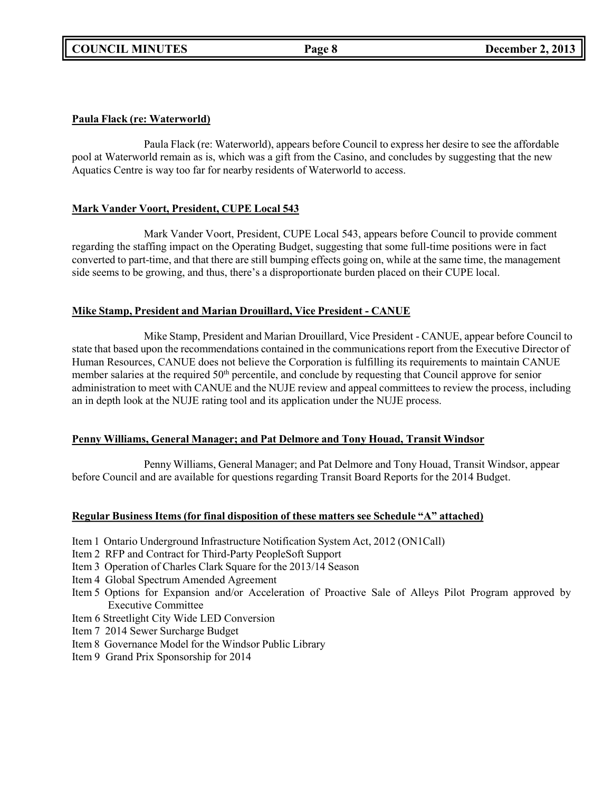# **Paula Flack (re: Waterworld)**

Paula Flack (re: Waterworld), appears before Council to express her desire to see the affordable pool at Waterworld remain as is, which was a gift from the Casino, and concludes by suggesting that the new Aquatics Centre is way too far for nearby residents of Waterworld to access.

# **Mark Vander Voort, President, CUPE Local 543**

Mark Vander Voort, President, CUPE Local 543, appears before Council to provide comment regarding the staffing impact on the Operating Budget, suggesting that some full-time positions were in fact converted to part-time, and that there are still bumping effects going on, while at the same time, the management side seems to be growing, and thus, there's a disproportionate burden placed on their CUPE local.

## **Mike Stamp, President and Marian Drouillard, Vice President - CANUE**

Mike Stamp, President and Marian Drouillard, Vice President - CANUE, appear before Council to state that based upon the recommendations contained in the communications report from the Executive Director of Human Resources, CANUE does not believe the Corporation is fulfilling its requirements to maintain CANUE member salaries at the required 50<sup>th</sup> percentile, and conclude by requesting that Council approve for senior administration to meet with CANUE and the NUJE review and appeal committees to review the process, including an in depth look at the NUJE rating tool and its application under the NUJE process.

### **Penny Williams, General Manager; and Pat Delmore and Tony Houad, Transit Windsor**

Penny Williams, General Manager; and Pat Delmore and Tony Houad, Transit Windsor, appear before Council and are available for questions regarding Transit Board Reports for the 2014 Budget.

### **Regular Business Items (for final disposition of these matters see Schedule "A" attached)**

- Item 1 Ontario Underground Infrastructure Notification System Act, 2012 (ON1Call)
- Item 2 RFP and Contract for Third-Party PeopleSoft Support
- Item 3 Operation of Charles Clark Square for the 2013/14 Season
- Item 4 Global Spectrum Amended Agreement
- Item 5 Options for Expansion and/or Acceleration of Proactive Sale of Alleys Pilot Program approved by Executive Committee
- Item 6 Streetlight City Wide LED Conversion
- Item 7 2014 Sewer Surcharge Budget
- Item 8 Governance Model for the Windsor Public Library
- Item 9 Grand Prix Sponsorship for 2014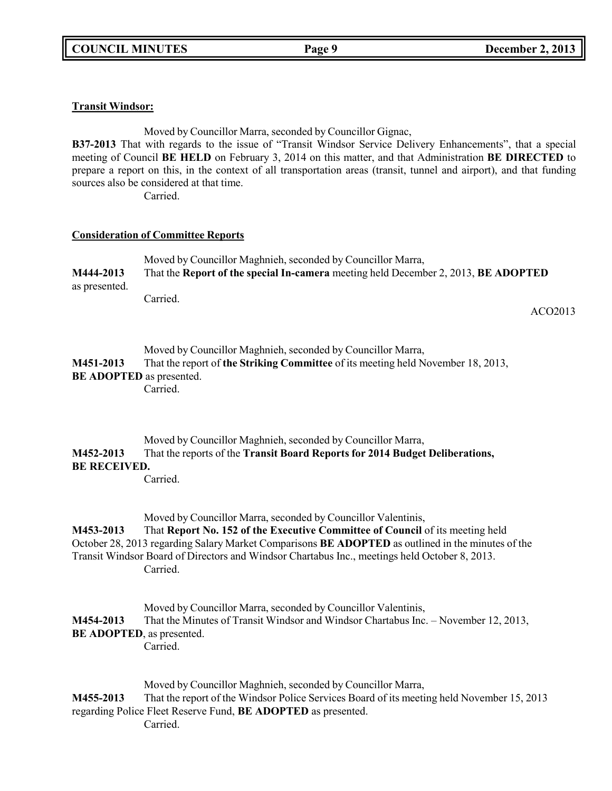**COUNCIL MINUTES Page 9 December 2, 2013**

## **Transit Windsor:**

Moved by Councillor Marra, seconded by Councillor Gignac,

**B37-2013** That with regards to the issue of "Transit Windsor Service Delivery Enhancements", that a special meeting of Council **BE HELD** on February 3, 2014 on this matter, and that Administration **BE DIRECTED** to prepare a report on this, in the context of all transportation areas (transit, tunnel and airport), and that funding sources also be considered at that time.

Carried.

## **Consideration of Committee Reports**

| M444-2013                                    | Moved by Councillor Maghnieh, seconded by Councillor Marra,<br>That the Report of the special In-camera meeting held December 2, 2013, BE ADOPTED |         |  |  |
|----------------------------------------------|---------------------------------------------------------------------------------------------------------------------------------------------------|---------|--|--|
| as presented.                                | Carried.                                                                                                                                          | ACO2013 |  |  |
| M451-2013<br><b>BE ADOPTED</b> as presented. | Moved by Councillor Maghnieh, seconded by Councillor Marra,<br>That the report of the Striking Committee of its meeting held November 18, 2013,   |         |  |  |

Carried.

# Moved by Councillor Maghnieh, seconded by Councillor Marra, **M452-2013** That the reports of the **Transit Board Reports for 2014 Budget Deliberations, BE RECEIVED.**

Carried.

Moved by Councillor Marra, seconded by Councillor Valentinis,

**M453-2013** That **Report No. 152 of the Executive Committee of Council** of its meeting held October 28, 2013 regarding Salary Market Comparisons **BE ADOPTED** as outlined in the minutes of the Transit Windsor Board of Directors and Windsor Chartabus Inc., meetings held October 8, 2013. Carried.

Moved by Councillor Marra, seconded by Councillor Valentinis, **M454-2013** That the Minutes of Transit Windsor and Windsor Chartabus Inc. – November 12, 2013, **BE ADOPTED**, as presented. Carried.

Moved by Councillor Maghnieh, seconded by Councillor Marra, **M455-2013** That the report of the Windsor Police Services Board of its meeting held November 15, 2013 regarding Police Fleet Reserve Fund, **BE ADOPTED** as presented. Carried.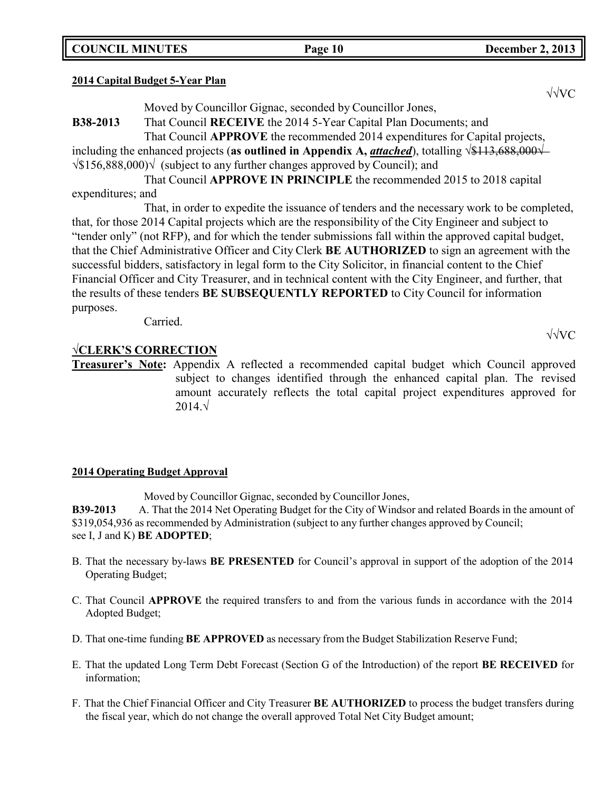**COUNCIL MINUTES Page 10 December 2, 2013**

### **2014 Capital Budget 5-Year Plan**

Moved by Councillor Gignac, seconded by Councillor Jones,

**B38-2013** That Council **RECEIVE** the 2014 5-Year Capital Plan Documents; and

That Council **APPROVE** the recommended 2014 expenditures for Capital projects,

including the enhanced projects (**as outlined in Appendix A,** *attached*), totalling √\$113,688,000√ √\$156,888,000)√ (subject to any further changes approved by Council); and

That Council **APPROVE IN PRINCIPLE** the recommended 2015 to 2018 capital expenditures; and

That, in order to expedite the issuance of tenders and the necessary work to be completed, that, for those 2014 Capital projects which are the responsibility of the City Engineer and subject to "tender only" (not RFP), and for which the tender submissions fall within the approved capital budget, that the Chief Administrative Officer and City Clerk **BE AUTHORIZED** to sign an agreement with the successful bidders, satisfactory in legal form to the City Solicitor, in financial content to the Chief Financial Officer and City Treasurer, and in technical content with the City Engineer, and further, that the results of these tenders **BE SUBSEQUENTLY REPORTED** to City Council for information purposes.

Carried.

# **√CLERK'S CORRECTION**

**Treasurer's Note:** Appendix A reflected a recommended capital budget which Council approved subject to changes identified through the enhanced capital plan. The revised amount accurately reflects the total capital project expenditures approved for 2014.√

# **2014 Operating Budget Approval**

Moved by Councillor Gignac, seconded by Councillor Jones,

**B39-2013** A. That the 2014 Net Operating Budget for the City of Windsor and related Boards in the amount of \$319,054,936 as recommended by Administration (subject to any further changes approved by Council; see I, J and K) **BE ADOPTED**;

- B. That the necessary by-laws **BE PRESENTED** for Council's approval in support of the adoption of the 2014 Operating Budget;
- C. That Council **APPROVE** the required transfers to and from the various funds in accordance with the 2014 Adopted Budget;
- D. That one-time funding **BE APPROVED** as necessary from the Budget Stabilization Reserve Fund;
- E. That the updated Long Term Debt Forecast (Section G of the Introduction) of the report **BE RECEIVED** for information;
- F. That the Chief Financial Officer and City Treasurer **BE AUTHORIZED** to process the budget transfers during the fiscal year, which do not change the overall approved Total Net City Budget amount;

√√VC

√√VC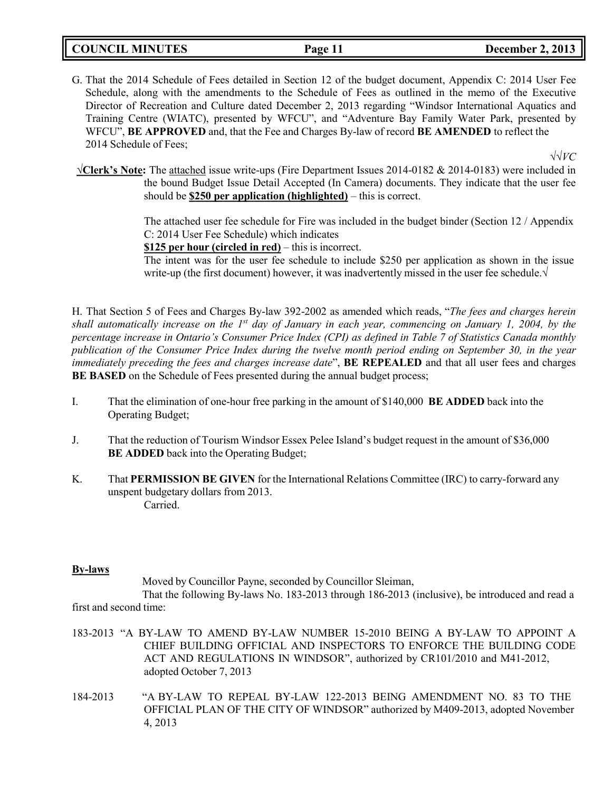## **COUNCIL MINUTES Page 11 December 2, 2013**

G. That the 2014 Schedule of Fees detailed in Section 12 of the budget document, Appendix C: 2014 User Fee Schedule, along with the amendments to the Schedule of Fees as outlined in the memo of the Executive Director of Recreation and Culture dated December 2, 2013 regarding "Windsor International Aquatics and Training Centre (WIATC), presented by WFCU", and "Adventure Bay Family Water Park, presented by WFCU", **BE APPROVED** and, that the Fee and Charges By-law of record **BE AMENDED** to reflect the 2014 Schedule of Fees;

√√*VC*

**√Clerk's Note:** The attached issue write-ups (Fire Department Issues 2014-0182 & 2014-0183) were included in the bound Budget Issue Detail Accepted (In Camera) documents. They indicate that the user fee should be **\$250 per application (highlighted)** – this is correct.

> The attached user fee schedule for Fire was included in the budget binder (Section 12 / Appendix C: 2014 User Fee Schedule) which indicates

**\$125 per hour (circled in red)** – this is incorrect.

The intent was for the user fee schedule to include \$250 per application as shown in the issue write-up (the first document) however, it was inadvertently missed in the user fee schedule. $\sqrt{ }$ 

H. That Section 5 of Fees and Charges By-law 392-2002 as amended which reads, "*The fees and charges herein shall automatically increase on the 1st day of January in each year, commencing on January 1, 2004, by the percentage increase in Ontario's Consumer Price Index (CPI) as defined in Table 7 of Statistics Canada monthly publication of the Consumer Price Index during the twelve month period ending on September 30, in the year immediately preceding the fees and charges increase date*", **BE REPEALED** and that all user fees and charges **BE BASED** on the Schedule of Fees presented during the annual budget process;

- I. That the elimination of one-hour free parking in the amount of \$140,000 **BE ADDED** back into the Operating Budget;
- J. That the reduction of Tourism Windsor Essex Pelee Island's budget request in the amount of \$36,000 **BE ADDED** back into the Operating Budget;
- K. That **PERMISSION BE GIVEN** for the International Relations Committee (IRC) to carry-forward any unspent budgetary dollars from 2013. Carried.

### **By-laws**

Moved by Councillor Payne, seconded by Councillor Sleiman,

That the following By-laws No. 183-2013 through 186-2013 (inclusive), be introduced and read a first and second time:

- 183-2013 "A BY-LAW TO AMEND BY-LAW NUMBER 15-2010 BEING A BY-LAW TO APPOINT A CHIEF BUILDING OFFICIAL AND INSPECTORS TO ENFORCE THE BUILDING CODE ACT AND REGULATIONS IN WINDSOR", authorized by CR101/2010 and M41-2012, adopted October 7, 2013
- 184-2013 "A BY-LAW TO REPEAL BY-LAW 122-2013 BEING AMENDMENT NO. 83 TO THE OFFICIAL PLAN OF THE CITY OF WINDSOR" authorized by M409-2013, adopted November 4, 2013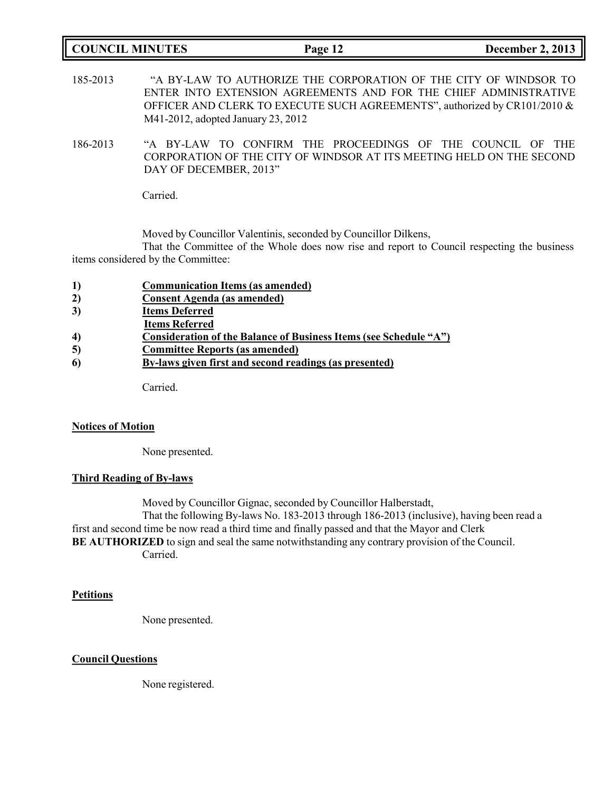| <b>COUNCIL MINUTES</b> |                                                                                                                                                                                                                                                         | Page 12 |  | <b>December 2, 2013</b> |  |
|------------------------|---------------------------------------------------------------------------------------------------------------------------------------------------------------------------------------------------------------------------------------------------------|---------|--|-------------------------|--|
| 185-2013               | "A BY-LAW TO AUTHORIZE THE CORPORATION OF THE CITY OF WINDSOR TO<br>ENTER INTO EXTENSION AGREEMENTS AND FOR THE CHIEF ADMINISTRATIVE<br>OFFICER AND CLERK TO EXECUTE SUCH AGREEMENTS", authorized by CR101/2010 &<br>M41-2012, adopted January 23, 2012 |         |  |                         |  |
| 186-2013               | "A BY-LAW TO CONFIRM THE PROCEEDINGS OF THE COUNCIL OF THE<br>CORPORATION OF THE CITY OF WINDSOR AT ITS MEETING HELD ON THE SECOND                                                                                                                      |         |  |                         |  |

Carried.

Moved by Councillor Valentinis, seconded by Councillor Dilkens,

That the Committee of the Whole does now rise and report to Council respecting the business items considered by the Committee:

|  | $\bf{1}$ | <b>Communication Items (as amended)</b> |  |
|--|----------|-----------------------------------------|--|
|--|----------|-----------------------------------------|--|

DAY OF DECEMBER, 2013"

- **2) Consent Agenda (as amended)**
- **3) Items Deferred**
- **Items Referred**
- **4) Consideration of the Balance of Business Items (see Schedule "A")**
- **5) Committee Reports (as amended)**
- **6) By-laws given first and second readings (as presented)**

Carried.

#### **Notices of Motion**

None presented.

### **Third Reading of By-laws**

Moved by Councillor Gignac, seconded by Councillor Halberstadt,

That the following By-laws No. 183-2013 through 186-2013 (inclusive), having been read a first and second time be now read a third time and finally passed and that the Mayor and Clerk **BE AUTHORIZED** to sign and seal the same notwithstanding any contrary provision of the Council. Carried.

#### **Petitions**

None presented.

#### **Council Questions**

None registered.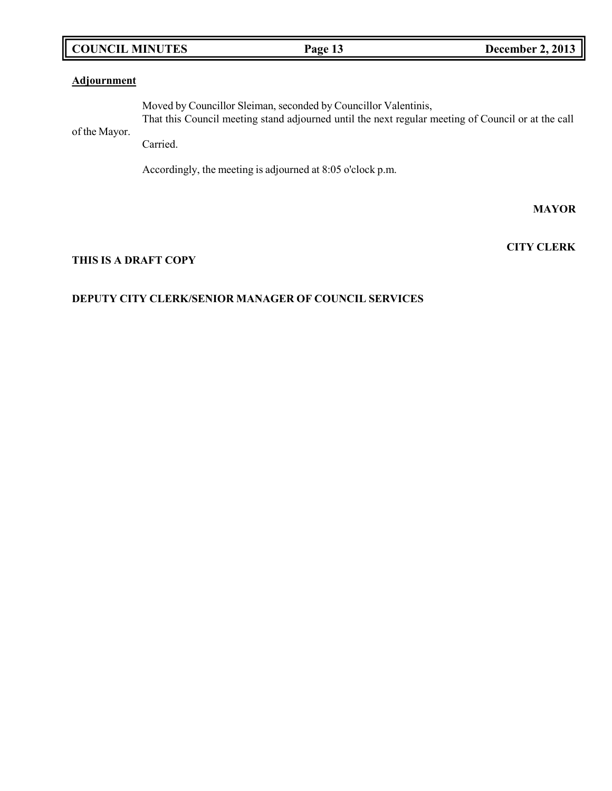# **COUNCIL MINUTES Page 13 December 2, 2013**

# **Adjournment**

of the Mayor. Moved by Councillor Sleiman, seconded by Councillor Valentinis, That this Council meeting stand adjourned until the next regular meeting of Council or at the call

Carried.

Accordingly, the meeting is adjourned at 8:05 o'clock p.m.

**MAYOR**

**CITY CLERK**

# **THIS IS A DRAFT COPY**

# **DEPUTY CITY CLERK/SENIOR MANAGER OF COUNCIL SERVICES**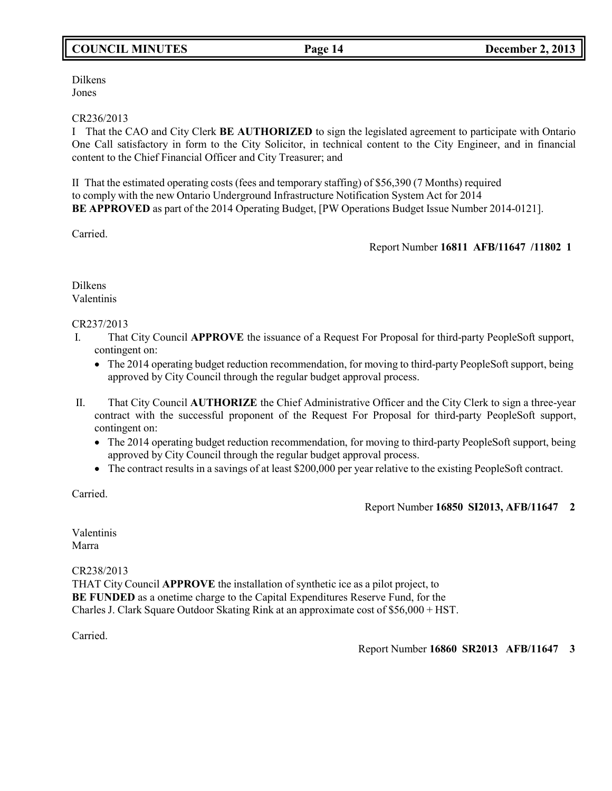# **COUNCIL MINUTES Page 14 December 2, 2013**

Dilkens Jones

### CR236/2013

I That the CAO and City Clerk **BE AUTHORIZED** to sign the legislated agreement to participate with Ontario One Call satisfactory in form to the City Solicitor, in technical content to the City Engineer, and in financial content to the Chief Financial Officer and City Treasurer; and

II That the estimated operating costs (fees and temporary staffing) of \$56,390 (7 Months) required to comply with the new Ontario Underground Infrastructure Notification System Act for 2014 **BE APPROVED** as part of the 2014 Operating Budget, [PW Operations Budget Issue Number 2014-0121].

Carried.

# Report Number **16811 AFB/11647 /11802 1**

Dilkens Valentinis

## CR237/2013

- I. That City Council **APPROVE** the issuance of a Request For Proposal for third-party PeopleSoft support, contingent on:
	- The 2014 operating budget reduction recommendation, for moving to third-party PeopleSoft support, being approved by City Council through the regular budget approval process.
- II. That City Council **AUTHORIZE** the Chief Administrative Officer and the City Clerk to sign a three-year contract with the successful proponent of the Request For Proposal for third-party PeopleSoft support, contingent on:
	- The 2014 operating budget reduction recommendation, for moving to third-party PeopleSoft support, being approved by City Council through the regular budget approval process.
	- The contract results in a savings of at least \$200,000 per year relative to the existing PeopleSoft contract.

Carried.

# Report Number **16850 SI2013, AFB/11647 2**

Valentinis Marra

CR238/2013

THAT City Council **APPROVE** the installation of synthetic ice as a pilot project, to **BE FUNDED** as a onetime charge to the Capital Expenditures Reserve Fund, for the Charles J. Clark Square Outdoor Skating Rink at an approximate cost of \$56,000 + HST.

Carried.

Report Number **16860 SR2013 AFB/11647 3**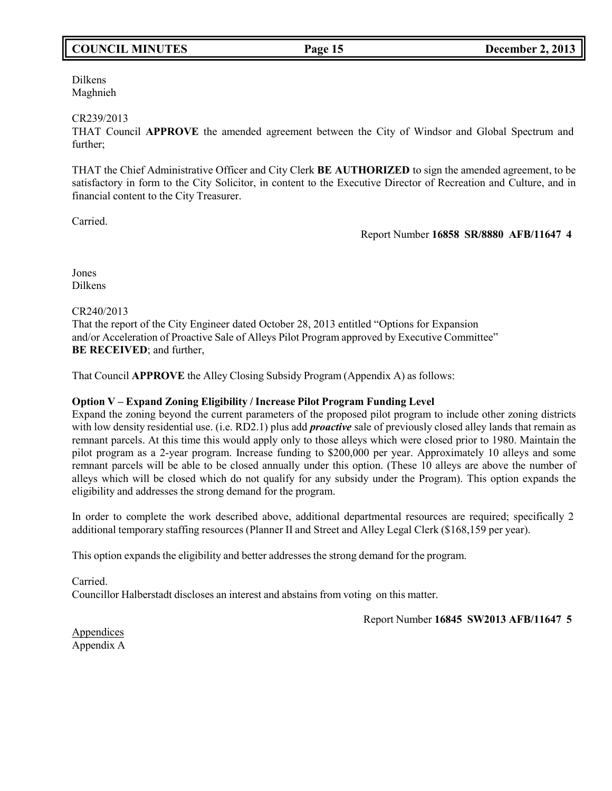# **COUNCIL MINUTES Page 15 December 2, 2013**

Dilkens Maghnieh

#### CR239/2013

THAT Council **APPROVE** the amended agreement between the City of Windsor and Global Spectrum and further;

THAT the Chief Administrative Officer and City Clerk **BE AUTHORIZED** to sign the amended agreement, to be satisfactory in form to the City Solicitor, in content to the Executive Director of Recreation and Culture, and in financial content to the City Treasurer.

Carried.

#### Report Number **16858 SR/8880 AFB/11647 4**

Jones Dilkens

### CR240/2013

That the report of the City Engineer dated October 28, 2013 entitled "Options for Expansion and/or Acceleration of Proactive Sale of Alleys Pilot Program approved by Executive Committee" **BE RECEIVED**; and further,

That Council **APPROVE** the Alley Closing Subsidy Program (Appendix A) as follows:

### **Option V – Expand Zoning Eligibility / Increase Pilot Program Funding Level**

Expand the zoning beyond the current parameters of the proposed pilot program to include other zoning districts with low density residential use. (i.e. RD2.1) plus add *proactive* sale of previously closed alley lands that remain as remnant parcels. At this time this would apply only to those alleys which were closed prior to 1980. Maintain the pilot program as a 2-year program. Increase funding to \$200,000 per year. Approximately 10 alleys and some remnant parcels will be able to be closed annually under this option. (These 10 alleys are above the number of alleys which will be closed which do not qualify for any subsidy under the Program). This option expands the eligibility and addresses the strong demand for the program.

In order to complete the work described above, additional departmental resources are required; specifically 2 additional temporary staffing resources (Planner II and Street and Alley Legal Clerk (\$168,159 per year).

This option expands the eligibility and better addresses the strong demand for the program.

Carried. Councillor Halberstadt discloses an interest and abstains from voting on this matter.

Report Number **16845 SW2013 AFB/11647 5**

Appendices Appendix A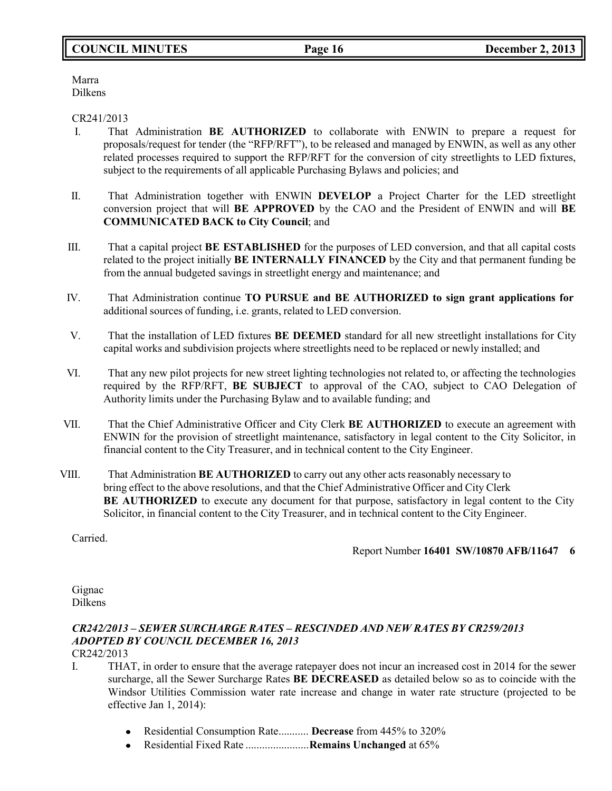# **COUNCIL MINUTES Page 16 December 2, 2013**

Marra Dilkens

### CR241/2013

- I. That Administration **BE AUTHORIZED** to collaborate with ENWIN to prepare a request for proposals/request for tender (the "RFP/RFT"), to be released and managed by ENWIN, as well as any other related processes required to support the RFP/RFT for the conversion of city streetlights to LED fixtures, subject to the requirements of all applicable Purchasing Bylaws and policies; and
- II. That Administration together with ENWIN **DEVELOP** a Project Charter for the LED streetlight conversion project that will **BE APPROVED** by the CAO and the President of ENWIN and will **BE COMMUNICATED BACK to City Council**; and
- III. That a capital project **BE ESTABLISHED** for the purposes of LED conversion, and that all capital costs related to the project initially **BE INTERNALLY FINANCED** by the City and that permanent funding be from the annual budgeted savings in streetlight energy and maintenance; and
- IV. That Administration continue **TO PURSUE and BE AUTHORIZED to sign grant applications for** additional sources of funding, i.e. grants, related to LED conversion.
- V. That the installation of LED fixtures **BE DEEMED** standard for all new streetlight installations for City capital works and subdivision projects where streetlights need to be replaced or newly installed; and
- VI. That any new pilot projects for new street lighting technologies not related to, or affecting the technologies required by the RFP/RFT, **BE SUBJECT** to approval of the CAO, subject to CAO Delegation of Authority limits under the Purchasing Bylaw and to available funding; and
- VII. That the Chief Administrative Officer and City Clerk **BE AUTHORIZED** to execute an agreement with ENWIN for the provision of streetlight maintenance, satisfactory in legal content to the City Solicitor, in financial content to the City Treasurer, and in technical content to the City Engineer.
- VIII. That Administration **BE AUTHORIZED** to carry out any other acts reasonably necessary to bring effect to the above resolutions, and that the Chief Administrative Officer and City Clerk **BE AUTHORIZED** to execute any document for that purpose, satisfactory in legal content to the City Solicitor, in financial content to the City Treasurer, and in technical content to the City Engineer.

Carried.

# Report Number **16401 SW/10870 AFB/11647 6**

Gignac Dilkens

# *CR242/2013 – SEWER SURCHARGE RATES – RESCINDED AND NEW RATES BY CR259/2013 ADOPTED BY COUNCIL DECEMBER 16, 2013*

CR242/2013

- I. THAT, in order to ensure that the average ratepayer does not incur an increased cost in 2014 for the sewer surcharge, all the Sewer Surcharge Rates **BE DECREASED** as detailed below so as to coincide with the Windsor Utilities Commission water rate increase and change in water rate structure (projected to be effective Jan 1, 2014):
	- Residential Consumption Rate........... **Decrease** from 445% to 320%
	- Residential Fixed Rate .......................**Remains Unchanged** at 65% $\bullet$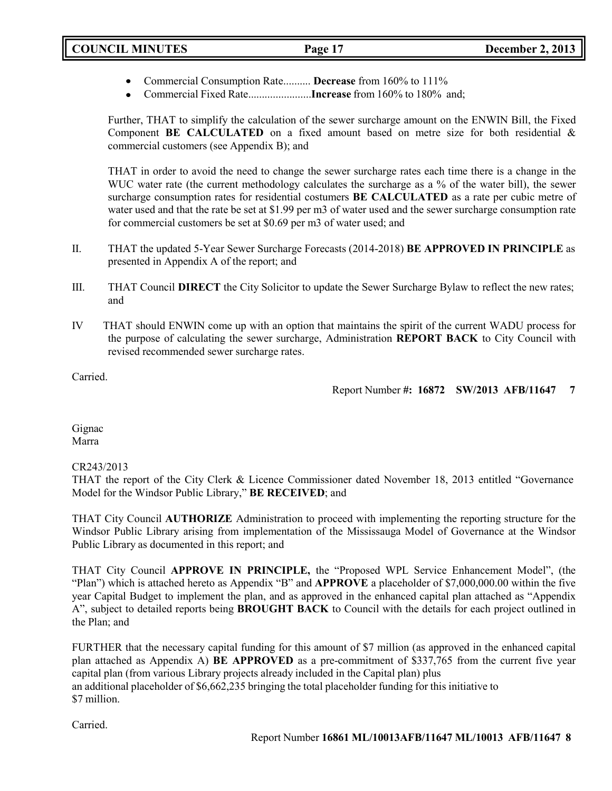- Commercial Consumption Rate.......... **Decrease** from 160% to 111%
- Commercial Fixed Rate.......................**Increase** from 160% to 180% and;

Further, THAT to simplify the calculation of the sewer surcharge amount on the ENWIN Bill, the Fixed Component **BE CALCULATED** on a fixed amount based on metre size for both residential & commercial customers (see Appendix B); and

THAT in order to avoid the need to change the sewer surcharge rates each time there is a change in the WUC water rate (the current methodology calculates the surcharge as a % of the water bill), the sewer surcharge consumption rates for residential costumers **BE CALCULATED** as a rate per cubic metre of water used and that the rate be set at \$1.99 per m3 of water used and the sewer surcharge consumption rate for commercial customers be set at \$0.69 per m3 of water used; and

- II. THAT the updated 5-Year Sewer Surcharge Forecasts (2014-2018) **BE APPROVED IN PRINCIPLE** as presented in Appendix A of the report; and
- III. THAT Council **DIRECT** the City Solicitor to update the Sewer Surcharge Bylaw to reflect the new rates; and
- IV THAT should ENWIN come up with an option that maintains the spirit of the current WADU process for the purpose of calculating the sewer surcharge, Administration **REPORT BACK** to City Council with revised recommended sewer surcharge rates.

Carried.

Report Number **#: 16872 SW/2013 AFB/11647 7**

Gignac Marra

CR243/2013

THAT the report of the City Clerk & Licence Commissioner dated November 18, 2013 entitled "Governance Model for the Windsor Public Library," **BE RECEIVED**; and

THAT City Council **AUTHORIZE** Administration to proceed with implementing the reporting structure for the Windsor Public Library arising from implementation of the Mississauga Model of Governance at the Windsor Public Library as documented in this report; and

THAT City Council **APPROVE IN PRINCIPLE,** the "Proposed WPL Service Enhancement Model", (the "Plan") which is attached hereto as Appendix "B" and **APPROVE** a placeholder of \$7,000,000.00 within the five year Capital Budget to implement the plan, and as approved in the enhanced capital plan attached as "Appendix A", subject to detailed reports being **BROUGHT BACK** to Council with the details for each project outlined in the Plan; and

FURTHER that the necessary capital funding for this amount of \$7 million (as approved in the enhanced capital plan attached as Appendix A) **BE APPROVED** as a pre-commitment of \$337,765 from the current five year capital plan (from various Library projects already included in the Capital plan) plus an additional placeholder of \$6,662,235 bringing the total placeholder funding for this initiative to \$7 million.

Carried.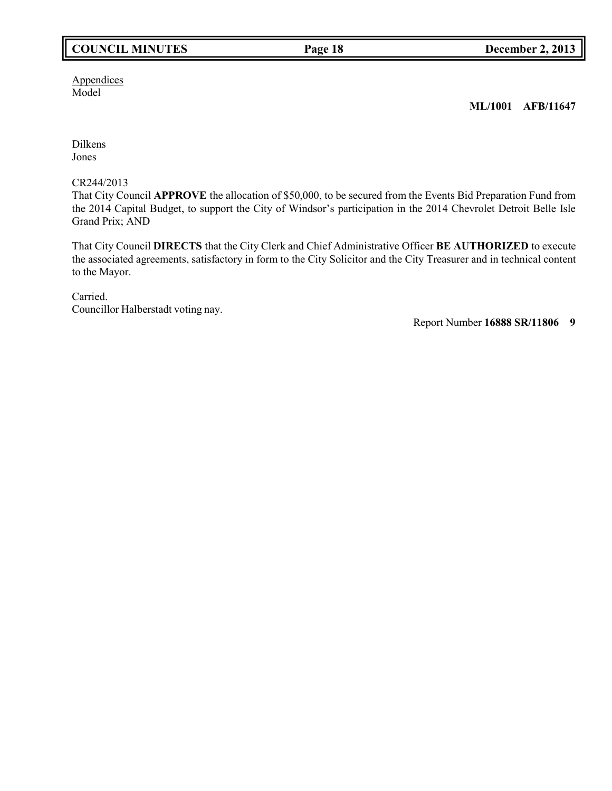# **COUNCIL MINUTES Page 18 December 2, 2013**

**Appendices** Model

**ML/1001 AFB/11647**

Dilkens Jones

CR244/2013

That City Council **APPROVE** the allocation of \$50,000, to be secured from the Events Bid Preparation Fund from the 2014 Capital Budget, to support the City of Windsor's participation in the 2014 Chevrolet Detroit Belle Isle Grand Prix; AND

That City Council **DIRECTS** that the City Clerk and Chief Administrative Officer **BE AUTHORIZED** to execute the associated agreements, satisfactory in form to the City Solicitor and the City Treasurer and in technical content to the Mayor.

Carried. Councillor Halberstadt voting nay.

Report Number **16888 SR/11806 9**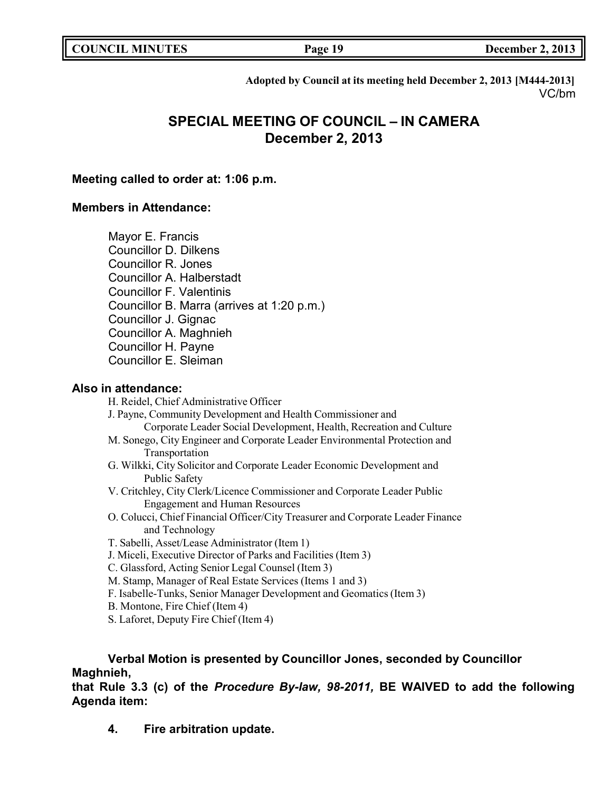| <b>COUNCIL MINUTES</b> |  |
|------------------------|--|
|------------------------|--|

**COUNCIL MINUTES Page 19 December 2, 2013**

**Adopted by Council at its meeting held December 2, 2013 [M444-2013]** VC/bm

# **SPECIAL MEETING OF COUNCIL – IN CAMERA December 2, 2013**

# **Meeting called to order at: 1:06 p.m.**

# **Members in Attendance:**

Mayor E. Francis

Councillor D. Dilkens

Councillor R. Jones

Councillor A. Halberstadt

Councillor F. Valentinis

Councillor B. Marra (arrives at 1:20 p.m.)

Councillor J. Gignac

Councillor A. Maghnieh

Councillor H. Payne

Councillor E. Sleiman

# **Also in attendance:**

H. Reidel, Chief Administrative Officer

- J. Payne, Community Development and Health Commissioner and Corporate Leader Social Development, Health, Recreation and Culture
- M. Sonego, City Engineer and Corporate Leader Environmental Protection and Transportation
- G. Wilkki, City Solicitor and Corporate Leader Economic Development and Public Safety
- V. Critchley, City Clerk/Licence Commissioner and Corporate Leader Public Engagement and Human Resources
- O. Colucci, Chief Financial Officer/City Treasurer and Corporate Leader Finance and Technology
- T. Sabelli, Asset/Lease Administrator (Item 1)
- J. Miceli, Executive Director of Parks and Facilities (Item 3)
- C. Glassford, Acting Senior Legal Counsel (Item 3)
- M. Stamp, Manager of Real Estate Services (Items 1 and 3)
- F. Isabelle-Tunks, Senior Manager Development and Geomatics(Item 3)
- B. Montone, Fire Chief (Item 4)
- S. Laforet, Deputy Fire Chief (Item 4)

# **Verbal Motion is presented by Councillor Jones, seconded by Councillor Maghnieh,**

**that Rule 3.3 (c) of the** *Procedure By-law, 98-2011,* **BE WAIVED to add the following Agenda item:**

**4. Fire arbitration update.**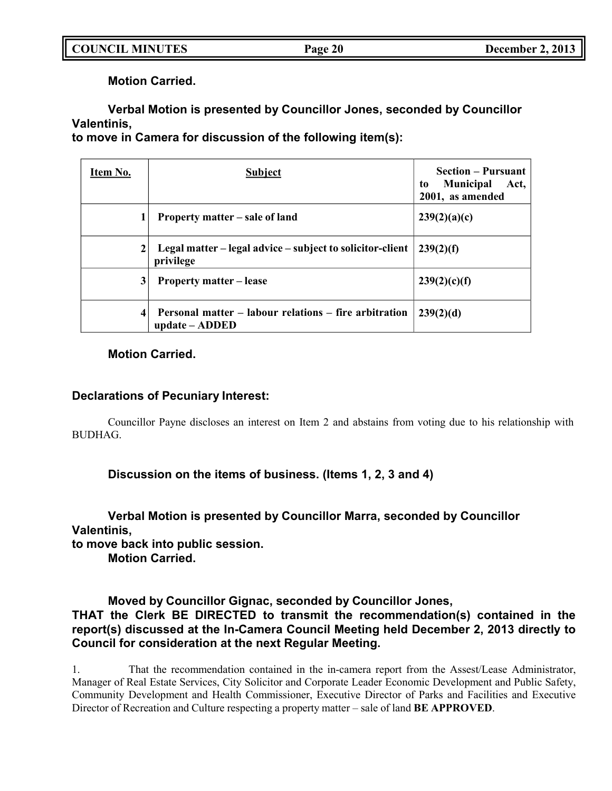**Motion Carried.**

# **Verbal Motion is presented by Councillor Jones, seconded by Councillor Valentinis,**

**to move in Camera for discussion of the following item(s):**

| Item No.     | <b>Subject</b>                                                          | <b>Section – Pursuant</b><br><b>Municipal</b><br>Act,<br>to<br>2001, as amended |
|--------------|-------------------------------------------------------------------------|---------------------------------------------------------------------------------|
| 1            | Property matter – sale of land                                          | 239(2)(a)(c)                                                                    |
| $\mathbf{2}$ | Legal matter – legal advice – subject to solicitor-client<br>privilege  | 239(2)(f)                                                                       |
| 3            | <b>Property matter – lease</b>                                          | 239(2)(c)(f)                                                                    |
| 4            | Personal matter – labour relations – fire arbitration<br>update – ADDED | 239(2)(d)                                                                       |

# **Motion Carried.**

# **Declarations of Pecuniary Interest:**

Councillor Payne discloses an interest on Item 2 and abstains from voting due to his relationship with BUDHAG.

**Discussion on the items of business. (Items 1, 2, 3 and 4)**

**Verbal Motion is presented by Councillor Marra, seconded by Councillor Valentinis, to move back into public session.**

**Motion Carried.**

**Moved by Councillor Gignac, seconded by Councillor Jones, THAT the Clerk BE DIRECTED to transmit the recommendation(s) contained in the report(s) discussed at the In-Camera Council Meeting held December 2, 2013 directly to Council for consideration at the next Regular Meeting.**

1. That the recommendation contained in the in-camera report from the Assest/Lease Administrator, Manager of Real Estate Services, City Solicitor and Corporate Leader Economic Development and Public Safety, Community Development and Health Commissioner, Executive Director of Parks and Facilities and Executive Director of Recreation and Culture respecting a property matter – sale of land **BE APPROVED**.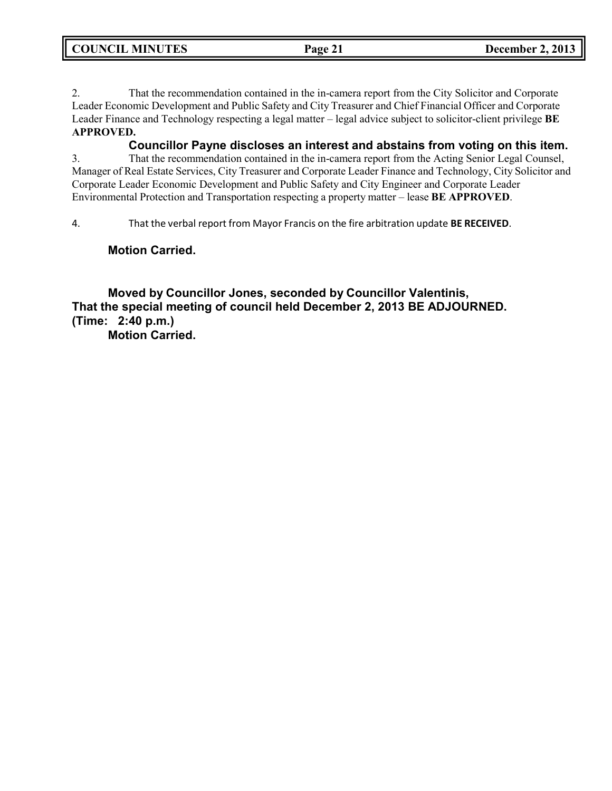**COUNCIL MINUTES Page 21 December 2, 2013**

2. That the recommendation contained in the in-camera report from the City Solicitor and Corporate Leader Economic Development and Public Safety and City Treasurer and Chief Financial Officer and Corporate Leader Finance and Technology respecting a legal matter – legal advice subject to solicitor-client privilege **BE APPROVED.**

**Councillor Payne discloses an interest and abstains from voting on this item.**

3. That the recommendation contained in the in-camera report from the Acting Senior Legal Counsel, Manager of Real Estate Services, City Treasurer and Corporate Leader Finance and Technology, City Solicitor and Corporate Leader Economic Development and Public Safety and City Engineer and Corporate Leader Environmental Protection and Transportation respecting a property matter – lease **BE APPROVED**.

4. That the verbal report from Mayor Francis on the fire arbitration update **BE RECEIVED**.

**Motion Carried.**

**Moved by Councillor Jones, seconded by Councillor Valentinis, That the special meeting of council held December 2, 2013 BE ADJOURNED. (Time: 2:40 p.m.)**

**Motion Carried.**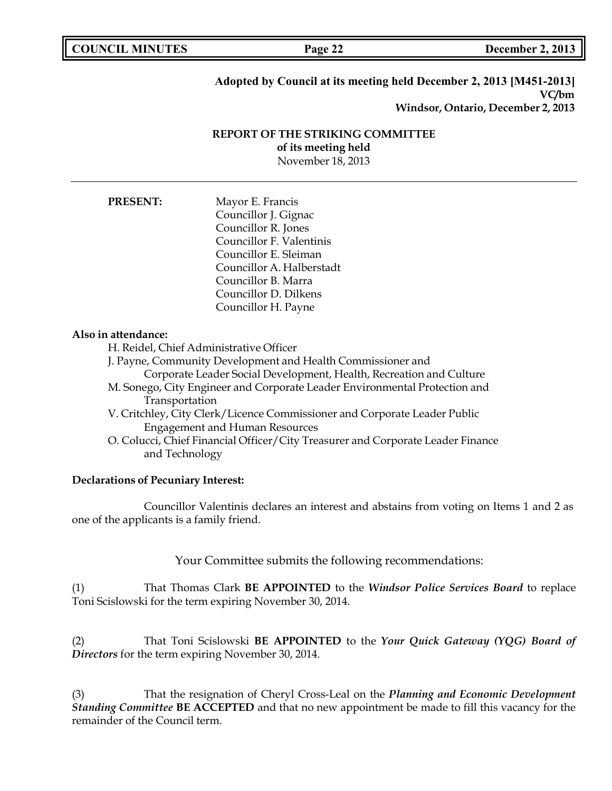**COUNCIL EXECUTE: COUNCIL EXECUTE: COUNCIL EXECUTE: COUNCIL EXECUTE: COUNCIL EXECUTE: COUNCIL EXECUTE: COUNCIL EXECUTE: COUNCIL** 

## **Adopted by Council at its meeting held December 2, 2013 [M451-2013] VC/bm Windsor, Ontario, December 2, 2013**

### **REPORT OF THE STRIKING COMMITTEE of its meeting held** November 18, 2013

**PRESENT:** Mayor E. Francis Councillor J. Gignac Councillor R. Jones Councillor F. Valentinis Councillor E. Sleiman Councillor A. Halberstadt Councillor B. Marra Councillor D. Dilkens Councillor H. Payne

### **Also in attendance:**

H. Reidel, Chief Administrative Officer

- J. Payne, Community Development and Health Commissioner and Corporate Leader Social Development, Health, Recreation and Culture
- M. Sonego, City Engineer and Corporate Leader Environmental Protection and Transportation
- V. Critchley, City Clerk/Licence Commissioner and Corporate Leader Public Engagement and Human Resources
- O. Colucci, Chief Financial Officer/City Treasurer and Corporate Leader Finance and Technology

### **Declarations of Pecuniary Interest:**

Councillor Valentinis declares an interest and abstains from voting on Items 1 and 2 as one of the applicants is a family friend.

Your Committee submits the following recommendations:

(1) That Thomas Clark **BE APPOINTED** to the *Windsor Police Services Board* to replace Toni Scislowski for the term expiring November 30, 2014.

(2) That Toni Scislowski **BE APPOINTED** to the *Your Quick Gateway (YQG) Board of Directors* for the term expiring November 30, 2014.

(3) That the resignation of Cheryl Cross-Leal on the *Planning and Economic Development Standing Committee* **BE ACCEPTED** and that no new appointment be made to fill this vacancy for the remainder of the Council term.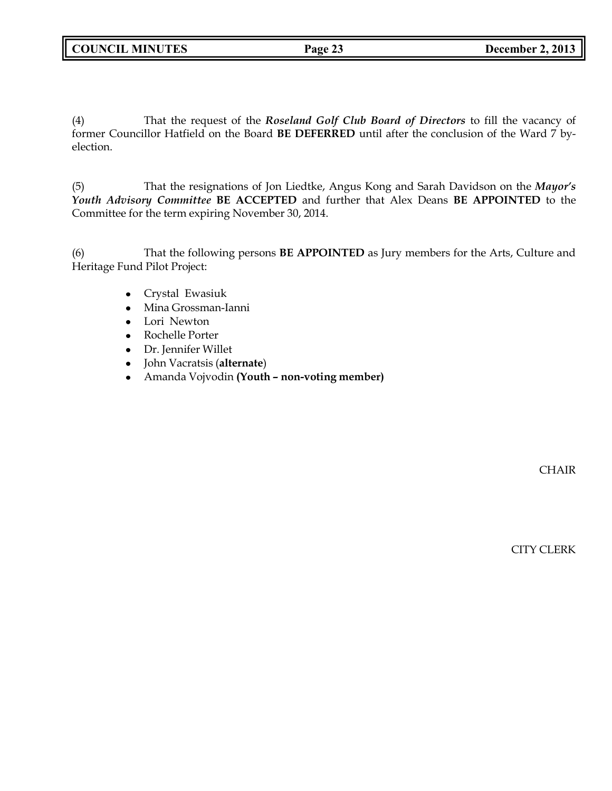(4) That the request of the *Roseland Golf Club Board of Directors* to fill the vacancy of former Councillor Hatfield on the Board **BE DEFERRED** until after the conclusion of the Ward 7 byelection.

(5) That the resignations of Jon Liedtke, Angus Kong and Sarah Davidson on the *Mayor's Youth Advisory Committee* **BE ACCEPTED** and further that Alex Deans **BE APPOINTED** to the Committee for the term expiring November 30, 2014.

(6) That the following persons **BE APPOINTED** as Jury members for the Arts, Culture and Heritage Fund Pilot Project:

- Crystal Ewasiuk
- Mina Grossman-Ianni
- Lori Newton
- Rochelle Porter
- Dr. Jennifer Willet
- John Vacratsis (**alternate**)
- Amanda Vojvodin **(Youth** *–* **non-voting member)**

CHAIR

CITY CLERK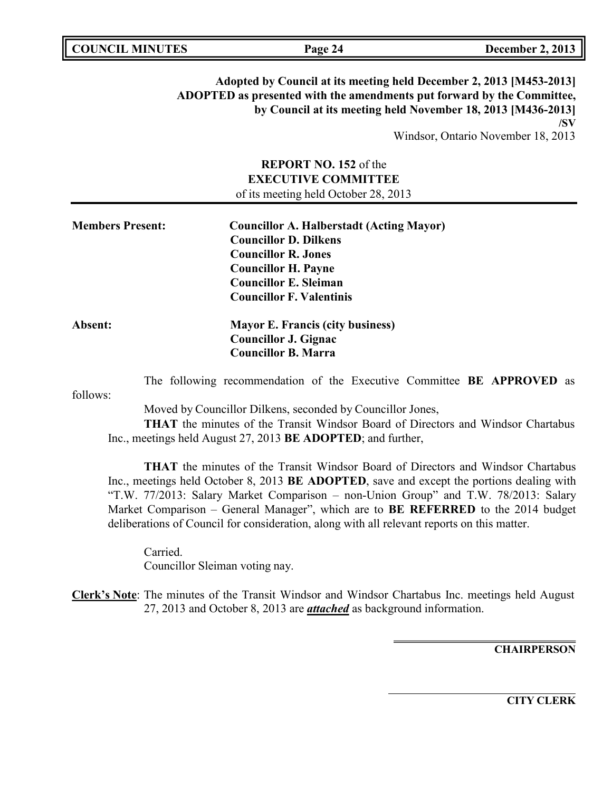|--|

**Adopted by Council at its meeting held December 2, 2013 [M453-2013] ADOPTED as presented with the amendments put forward by the Committee, by Council at its meeting held November 18, 2013 [M436-2013] /SV**

Windsor, Ontario November 18, 2013

# **REPORT NO. 152** of the **EXECUTIVE COMMITTEE** of its meeting held October 28, 2013

| <b>Members Present:</b> | <b>Councillor A. Halberstadt (Acting Mayor)</b> |
|-------------------------|-------------------------------------------------|
|                         | <b>Councillor D. Dilkens</b>                    |
|                         | <b>Councillor R. Jones</b>                      |
|                         | <b>Councillor H. Payne</b>                      |
|                         | <b>Councillor E. Sleiman</b>                    |
|                         | <b>Councillor F. Valentinis</b>                 |
| Absent:                 | <b>Mayor E. Francis (city business)</b>         |
|                         | <b>Councillor J. Gignac</b>                     |
|                         | <b>Councillor B. Marra</b>                      |

The following recommendation of the Executive Committee **BE APPROVED** as

follows:

Moved by Councillor Dilkens, seconded by Councillor Jones,

**THAT** the minutes of the Transit Windsor Board of Directors and Windsor Chartabus Inc., meetings held August 27, 2013 **BE ADOPTED**; and further,

**THAT** the minutes of the Transit Windsor Board of Directors and Windsor Chartabus Inc., meetings held October 8, 2013 **BE ADOPTED**, save and except the portions dealing with "T.W. 77/2013: Salary Market Comparison – non-Union Group" and T.W. 78/2013: Salary Market Comparison – General Manager", which are to **BE REFERRED** to the 2014 budget deliberations of Council for consideration, along with all relevant reports on this matter.

Carried. Councillor Sleiman voting nay.

**Clerk's Note**: The minutes of the Transit Windsor and Windsor Chartabus Inc. meetings held August 27, 2013 and October 8, 2013 are *attached* as background information.

**CHAIRPERSON**

**CITY CLERK**